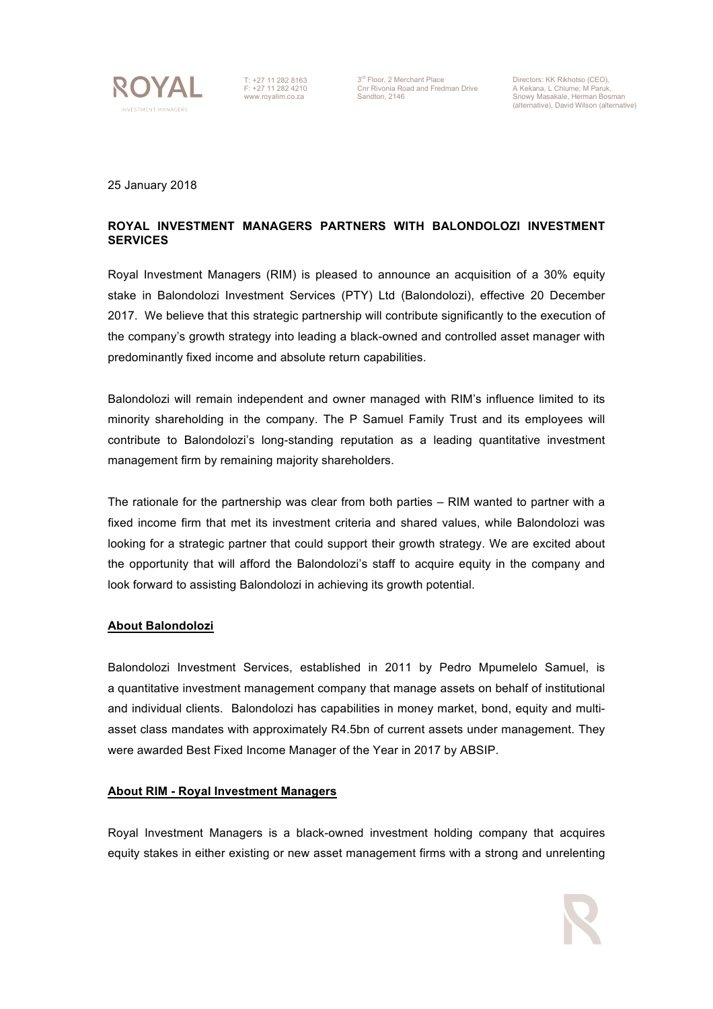

T: +27 11 282 8163 F: +27 11 282 4210 www.royalim.co.za

3<sup>rd</sup> Floor, 2 Merchant Place<br>Cnr Rivonia Road and Fredman Drive<br>Sandton, 2146

Directors: KK Rikhotso (CEO), A Kekana, L Chiume; M Paruk, Snowy Masakale, Herman Bosman (alternative), David Wilson (alternative)

25 January 2018

## **ROYAL INVESTMENT MANAGERS PARTNERS WITH BALONDOLOZI INVESTMENT SERVICES**

Royal Investment Managers (RIM) is pleased to announce an acquisition of a 30% equity stake in Balondolozi Investment Services (PTY) Ltd (Balondolozi), effective 20 December 2017. We believe that this strategic partnership will contribute significantly to the execution of the company's growth strategy into leading a black-owned and controlled asset manager with predominantly fixed income and absolute return capabilities.

Balondolozi will remain independent and owner managed with RIM's influence limited to its minority shareholding in the company. The P Samuel Family Trust and its employees will contribute to Balondolozi's long-standing reputation as a leading quantitative investment management firm by remaining majority shareholders.

The rationale for the partnership was clear from both parties – RIM wanted to partner with a fixed income firm that met its investment criteria and shared values, while Balondolozi was looking for a strategic partner that could support their growth strategy. We are excited about the opportunity that will afford the Balondolozi's staff to acquire equity in the company and look forward to assisting Balondolozi in achieving its growth potential.

## **About Balondolozi**

Balondolozi Investment Services, established in 2011 by Pedro Mpumelelo Samuel, is a quantitative investment management company that manage assets on behalf of institutional and individual clients. Balondolozi has capabilities in money market, bond, equity and multiasset class mandates with approximately R4.5bn of current assets under management. They were awarded Best Fixed Income Manager of the Year in 2017 by ABSIP.

## **About RIM - Royal Investment Managers**

Royal Investment Managers is a black-owned investment holding company that acquires equity stakes in either existing or new asset management firms with a strong and unrelenting